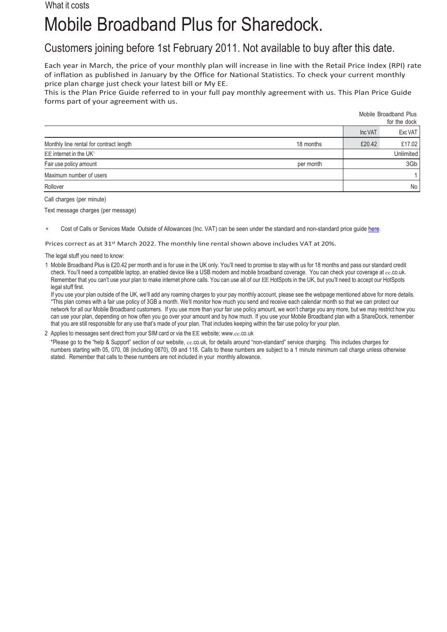## What it costs

## Mobile Broadband Plus for Sharedock.

Customers joining before 1st February 2011. Not available to buy after this date.

Each year in March, the price of your monthly plan will increase in line with the Retail Price Index (RPI) rate of inflation as published in January by the Office for National Statistics. To check your current monthly price plan charge just check your latest bill or My EE.

Mobile Broadband Plus

This is the Plan Price Guide referred to in your full pay monthly agreement with us. This Plan Price Guide forms part of your agreement with us.

|                                         |           |         | for the dock     |
|-----------------------------------------|-----------|---------|------------------|
|                                         |           | Inc VAT | Exc VAT          |
| Monthly line rental for contract length | 18 months | £20.42  | £17.02           |
| EE internet in the UK <sup>1</sup>      |           |         | <b>Unlimited</b> |
| Fair use policy amount                  | per month |         | 3Gb              |
| Maximum number of users                 |           |         |                  |
| Rollover                                |           |         | No I             |

Call charges (per minute)

Text message charges (per message)

Cost of Calls or Services Made Outside of Allowances (Inc. VAT) can be seen under the standard and non-standard price quid[e here.](https://ee.co.uk/help/help-new/price-plans/legacy-brand/pay-monthly-price-plans)

Prices correct as at 31<sup>st</sup> March 2022. The monthly line rental shown above includes VAT at 20%.

The legal stuff you need to know:

1 Mobile Broadband Plus is £20.42 per month and is for use in the UK only. You'll need to promise to stay with us for 18 months and pass our standard credit check. You'll need a compatible laptop, an enabled device like a USB modem and mobile broadband coverage. You can check your coverage at ee.co.uk. Remember that you can't use your plan to make internet phone calls. You can use all of our EE HotSpots in the UK, but you'll need to accept our HotSpots legal stuff first.

If you use your plan outside of the UK, we'll add any roaming charges to your pay monthly account, please see the webpage mentioned above for more details. \*This plan comes with a fair use policy of 3GB a month. We'll monitor how much you send and receive each calendar month so that we can protect our network for all our Mobile Broadband customers. If you use more than your fair use policy amount, we won't charge you any more, but we may restrict how you can use your plan, depending on how often you go over your amount and by how much. If you use your Mobile Broadband plan with a ShareDock, remember that you are still responsible for any use that's made of your plan. That includes keeping within the fair use policy for your plan.

2 Applies to messages sent direct from your SIM card or via the EE website; www.ee[.co.uk](http://www.ee.co.uk/)

\*Please go to the "help & Support" section of our website, ee.co.uk, for details around "non-standard" service charging. This includes charges for numbers starting with 05, 070, 08 (including 0870), 09 and 118. Calls to these numbers are subject to a 1 minute minimum call charge unless otherwise stated. Remember that calls to these numbers are not included in your monthly allowance.